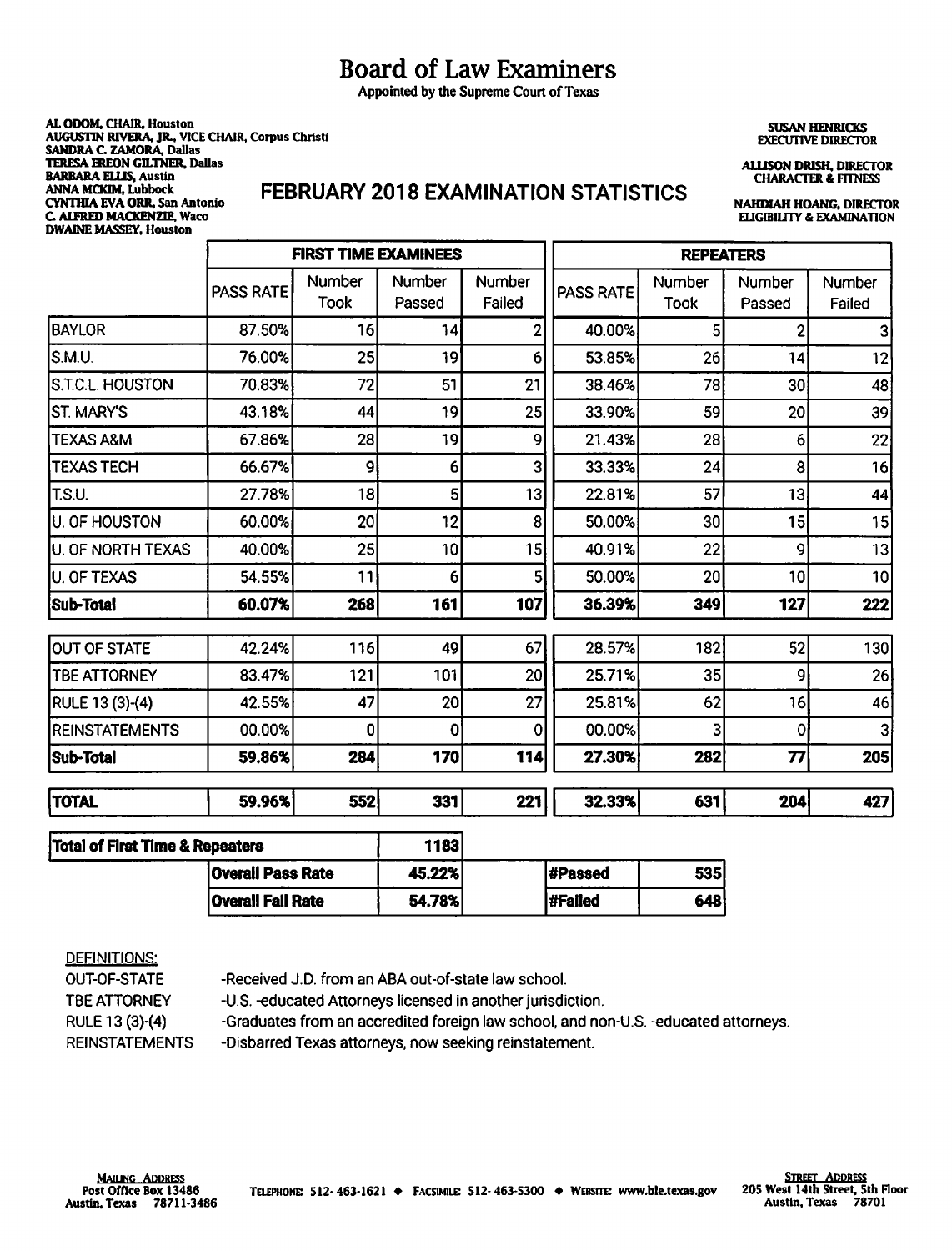# Board of Law Examiners

Appointed by the Supreme Court of Texas

**AL ODOM,** CHAIR, Houston **AUGUSTIN RIVERA, JR..** VICE CHAIR, Corpus Christi SANDRA C. ZAMORA, Dallas **1ERESA EREON GILTNER, Dallas BARBARA <b>ELLIS**, Austin<br>ANNA MCKIM, Lubbock ~~~~bocs!Antonio **FEBRUARY 2018 EXAMINATION STATISTICS NAHDIAH HOANG, DIRECTOR C. ALFRED MACKENZIE, Waco DWAINE MASSEY, Houston** 

**SUSAN HENRICKS EXECUI1VE DIRECTOR** 

**AU.ISON DRISH, DIRECTOR CHARACTER & FITNESS** 

|                                            | <b>FIRST TIME EXAMINEES</b> |                       |                       | <b>REPEATERS</b> |           |                 |                  |                  |
|--------------------------------------------|-----------------------------|-----------------------|-----------------------|------------------|-----------|-----------------|------------------|------------------|
|                                            | PASS RATE                   | Number<br><b>Took</b> | Number<br>Passed      | Number<br>Failed | PASS RATE | Number<br>Took  | Number<br>Passed | Number<br>Failed |
| <b>BAYLOR</b>                              | 87.50%                      | 16                    | 14                    | 2                | 40.00%    | 5               | 2                | 3                |
| S.M.U.                                     | 76.00%                      | 25                    | 19                    | 6                | 53.85%    | 26              | 14               | 12               |
| S.T.C.L. HOUSTON                           | 70.83%                      | 72                    | 51                    | 21               | 38.46%    | 78              | 30 <sub>1</sub>  | 48               |
| IST. MARY'S                                | 43.18%                      | 44                    | 19                    | 25               | 33.90%    | 59              | 20               | 39               |
| <b>TEXAS A&amp;M</b>                       | 67.86%                      | 28                    | 19                    | 9                | 21.43%    | 28              | 6                | 22               |
| <b>TEXAS TECH</b>                          | 66.67%                      | 9                     | $6 \mid$              | 3                | 33.33%    | 24              | 8                | 16               |
| T.S.U.                                     | 27.78%                      | 18                    | 5 <sup>1</sup>        | 13               | 22.81%    | 57              | 13               | 44               |
| <b>JU. OF HOUSTON</b>                      | 60.00%                      | 20 <sup>1</sup>       | 12                    | 8                | 50.00%    | 30 <sub>l</sub> | 15               | 15               |
| U. OF NORTH TEXAS                          | 40.00%                      | 25                    | 10 <sub>l</sub>       | 15               | 40.91%    | 22              | 9                | 13               |
| <b>U. OF TEXAS</b>                         | 54.55%                      | 11                    | 6                     | 5                | 50.00%    | 20              | 10               | 10               |
| Sub-Total                                  | 60.07%                      | 268                   | 161                   | 107              | 36.39%    | 349             | 127              | 222              |
| OUT OF STATE                               | 42.24%                      | 116                   | 49                    | 67               | 28.57%    | 182             | 52               | 130              |
| <b>TBE ATTORNEY</b>                        | 83.47%                      | 121                   | 101                   | 20               | 25.71%    | 35              | 9                | 26               |
| RULE 13 (3)-(4)                            | 42.55%                      | 47                    | 20                    | 27               | 25.81%    | 62              | 16               | 46               |
| REINSTATEMENTS                             | 00.00%                      | 0                     | $\mathbf{0}^{\prime}$ | $\mathbf 0$      | 00.00%    | 3               | $\mathbf 0$      | 3 <sup>1</sup>   |
| <b>Sub-Total</b>                           | 59.86%                      | 284                   | 170                   | 114              | 27.30%    | 282             | 77               | 205              |
| <b>TOTAL</b>                               | 59.96%                      | 552                   | 331                   | 221              | 32.33%    | 631             | 204              | 427              |
| <b>Total of First Time &amp; Repeaters</b> |                             |                       | 1183                  |                  |           |                 |                  |                  |

| & Repeaters              | 11831  |          |             |
|--------------------------|--------|----------|-------------|
| <b>Overall Pass Rate</b> | 45.22% | #Passed  | <b>5351</b> |
| <b>Overall Fall Rate</b> | 54.78% | l#Failed | 648         |

#### DEFINITIONS:

-Received J.D. from an ABA out-of-state law school. -U.S. -educated Attorneys licensed in another jurisdiction. OUT-OF-STATE TBE ATTORNEY RULE 13 (3)-(4) REINSTATEMENTS -Graduates from an accredited foreign law school, and non-U.S. -educated attorneys. -Disbarred Texas attorneys, now seeking reinstatement.